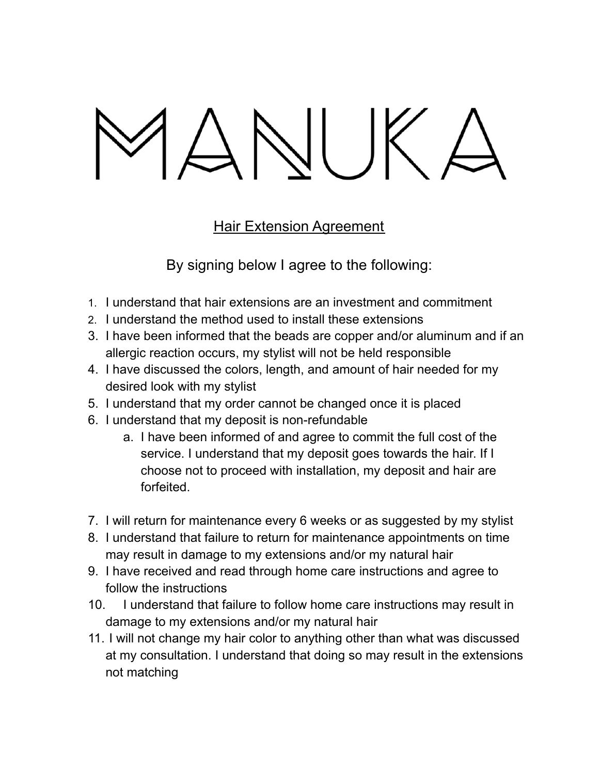Hair Extension Agreement

By signing below I agree to the following:

- 1. I understand that hair extensions are an investment and commitment
- 2. I understand the method used to install these extensions
- 3. I have been informed that the beads are copper and/or aluminum and if an allergic reaction occurs, my stylist will not be held responsible
- 4. I have discussed the colors, length, and amount of hair needed for my desired look with my stylist
- 5. I understand that my order cannot be changed once it is placed
- 6. I understand that my deposit is non-refundable
	- a. I have been informed of and agree to commit the full cost of the service. I understand that my deposit goes towards the hair. If I choose not to proceed with installation, my deposit and hair are forfeited.
- 7. I will return for maintenance every 6 weeks or as suggested by my stylist
- 8. I understand that failure to return for maintenance appointments on time may result in damage to my extensions and/or my natural hair
- 9. I have received and read through home care instructions and agree to follow the instructions
- 10. I understand that failure to follow home care instructions may result in damage to my extensions and/or my natural hair
- 11. I will not change my hair color to anything other than what was discussed at my consultation. I understand that doing so may result in the extensions not matching